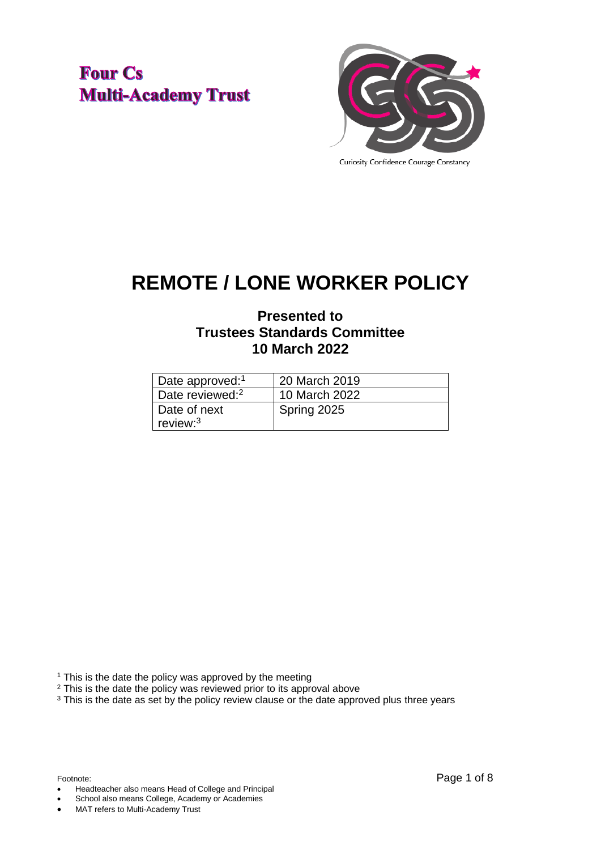**Four Cs Multi-Academy Trust** 



# **REMOTE / LONE WORKER POLICY**

# **Presented to Trustees Standards Committee 10 March 2022**

| Date approved: <sup>1</sup> | 20 March 2019 |
|-----------------------------|---------------|
| Date reviewed: <sup>2</sup> | 10 March 2022 |
| Date of next<br>review: $3$ | Spring 2025   |

<sup>1</sup> This is the date the policy was approved by the meeting

<sup>2</sup> This is the date the policy was reviewed prior to its approval above

<sup>3</sup> This is the date as set by the policy review clause or the date approved plus three years

• Headteacher also means Head of College and Principal

School also means College, Academy or Academies

MAT refers to Multi-Academy Trust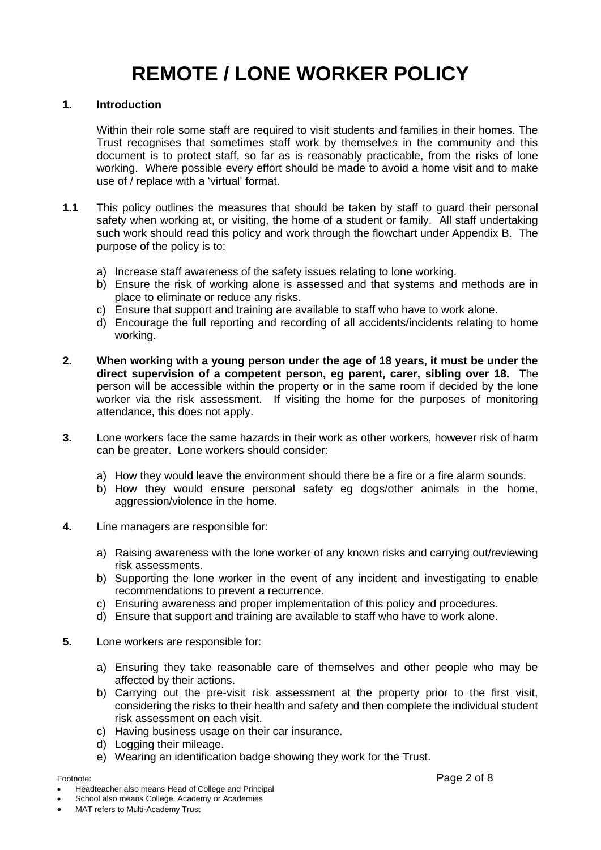# **REMOTE / LONE WORKER POLICY**

#### **1. Introduction**

Within their role some staff are required to visit students and families in their homes. The Trust recognises that sometimes staff work by themselves in the community and this document is to protect staff, so far as is reasonably practicable, from the risks of lone working. Where possible every effort should be made to avoid a home visit and to make use of / replace with a 'virtual' format.

- **1.1** This policy outlines the measures that should be taken by staff to guard their personal safety when working at, or visiting, the home of a student or family. All staff undertaking such work should read this policy and work through the flowchart under Appendix B. The purpose of the policy is to:
	- a) Increase staff awareness of the safety issues relating to lone working.
	- b) Ensure the risk of working alone is assessed and that systems and methods are in place to eliminate or reduce any risks.
	- c) Ensure that support and training are available to staff who have to work alone.
	- d) Encourage the full reporting and recording of all accidents/incidents relating to home working.
- **2. When working with a young person under the age of 18 years, it must be under the direct supervision of a competent person, eg parent, carer, sibling over 18.** The person will be accessible within the property or in the same room if decided by the lone worker via the risk assessment. If visiting the home for the purposes of monitoring attendance, this does not apply.
- **3.** Lone workers face the same hazards in their work as other workers, however risk of harm can be greater. Lone workers should consider:
	- a) How they would leave the environment should there be a fire or a fire alarm sounds.
	- b) How they would ensure personal safety eg dogs/other animals in the home, aggression/violence in the home.
- **4.** Line managers are responsible for:
	- a) Raising awareness with the lone worker of any known risks and carrying out/reviewing risk assessments.
	- b) Supporting the lone worker in the event of any incident and investigating to enable recommendations to prevent a recurrence.
	- c) Ensuring awareness and proper implementation of this policy and procedures.
	- d) Ensure that support and training are available to staff who have to work alone.
- **5.** Lone workers are responsible for:
	- a) Ensuring they take reasonable care of themselves and other people who may be affected by their actions.
	- b) Carrying out the pre-visit risk assessment at the property prior to the first visit, considering the risks to their health and safety and then complete the individual student risk assessment on each visit.
	- c) Having business usage on their car insurance.
	- d) Logging their mileage.
	- e) Wearing an identification badge showing they work for the Trust.

• Headteacher also means Head of College and Principal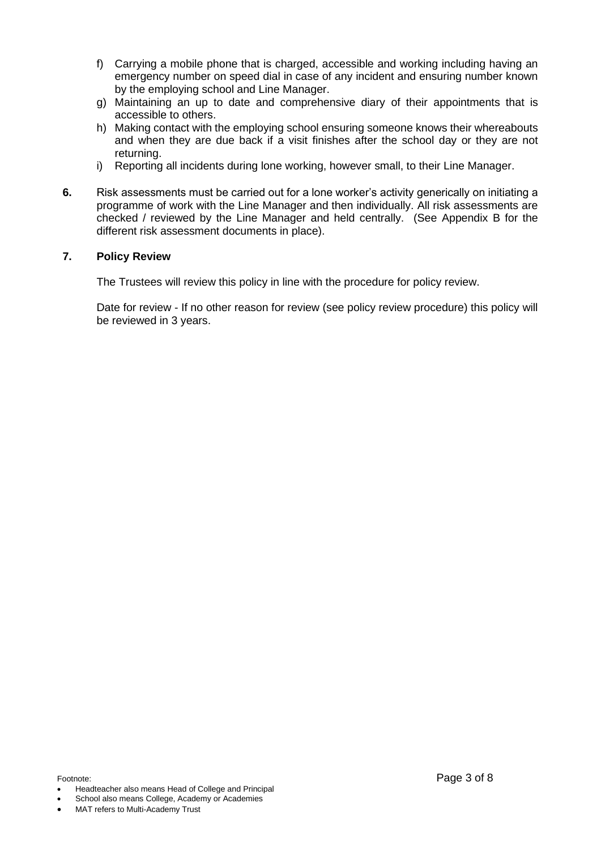- f) Carrying a mobile phone that is charged, accessible and working including having an emergency number on speed dial in case of any incident and ensuring number known by the employing school and Line Manager.
- g) Maintaining an up to date and comprehensive diary of their appointments that is accessible to others.
- h) Making contact with the employing school ensuring someone knows their whereabouts and when they are due back if a visit finishes after the school day or they are not returning.
- i) Reporting all incidents during lone working, however small, to their Line Manager.
- **6.** Risk assessments must be carried out for a lone worker's activity generically on initiating a programme of work with the Line Manager and then individually. All risk assessments are checked / reviewed by the Line Manager and held centrally. (See Appendix B for the different risk assessment documents in place).

#### **7. Policy Review**

The Trustees will review this policy in line with the procedure for policy review.

Date for review - If no other reason for review (see policy review procedure) this policy will be reviewed in 3 years.

- Headteacher also means Head of College and Principal
- School also means College, Academy or Academies

MAT refers to Multi-Academy Trust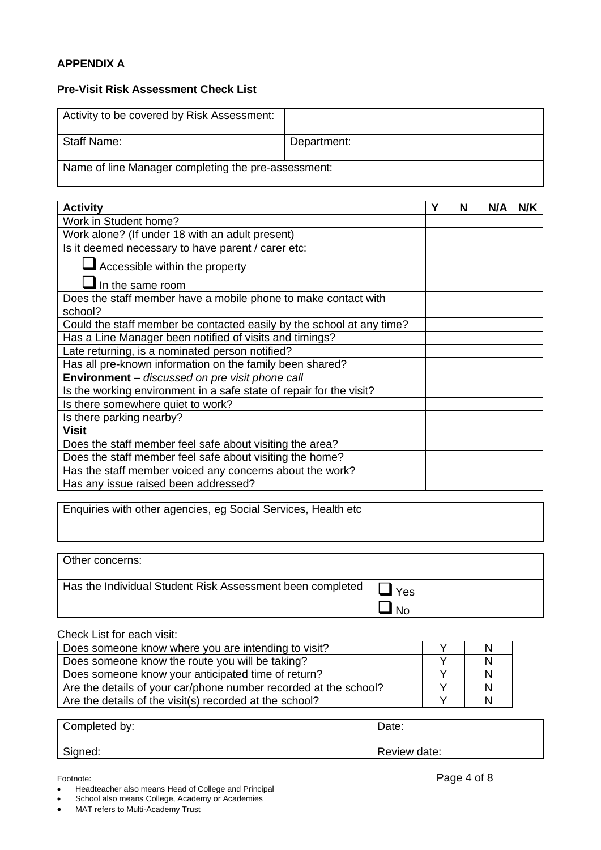### **APPENDIX A**

#### **Pre-Visit Risk Assessment Check List**

| Activity to be covered by Risk Assessment:          |             |  |  |  |  |  |
|-----------------------------------------------------|-------------|--|--|--|--|--|
| Staff Name:                                         | Department: |  |  |  |  |  |
| Name of line Manager completing the pre-assessment: |             |  |  |  |  |  |

| <b>Activity</b>                                                       | Υ | N | N/A | N/K |
|-----------------------------------------------------------------------|---|---|-----|-----|
| Work in Student home?                                                 |   |   |     |     |
| Work alone? (If under 18 with an adult present)                       |   |   |     |     |
| Is it deemed necessary to have parent / carer etc:                    |   |   |     |     |
| Accessible within the property                                        |   |   |     |     |
| $\blacksquare$ In the same room                                       |   |   |     |     |
| Does the staff member have a mobile phone to make contact with        |   |   |     |     |
| school?                                                               |   |   |     |     |
| Could the staff member be contacted easily by the school at any time? |   |   |     |     |
| Has a Line Manager been notified of visits and timings?               |   |   |     |     |
| Late returning, is a nominated person notified?                       |   |   |     |     |
| Has all pre-known information on the family been shared?              |   |   |     |     |
| Environment - discussed on pre visit phone call                       |   |   |     |     |
| Is the working environment in a safe state of repair for the visit?   |   |   |     |     |
| Is there somewhere quiet to work?                                     |   |   |     |     |
| Is there parking nearby?                                              |   |   |     |     |
| <b>Visit</b>                                                          |   |   |     |     |
| Does the staff member feel safe about visiting the area?              |   |   |     |     |
| Does the staff member feel safe about visiting the home?              |   |   |     |     |
| Has the staff member voiced any concerns about the work?              |   |   |     |     |
| Has any issue raised been addressed?                                  |   |   |     |     |

Enquiries with other agencies, eg Social Services, Health etc

| Other concerns:                                           |              |
|-----------------------------------------------------------|--------------|
| Has the Individual Student Risk Assessment been completed | Yes<br>. Nol |

#### Check List for each visit:

| Does someone know where you are intending to visit?              |  |
|------------------------------------------------------------------|--|
| Does someone know the route you will be taking?                  |  |
| Does someone know your anticipated time of return?               |  |
| Are the details of your car/phone number recorded at the school? |  |
| Are the details of the visit(s) recorded at the school?          |  |

| Completed by: | Date:        |
|---------------|--------------|
| Signed:       | Review date: |

• Headteacher also means Head of College and Principal

• MAT refers to Multi-Academy Trust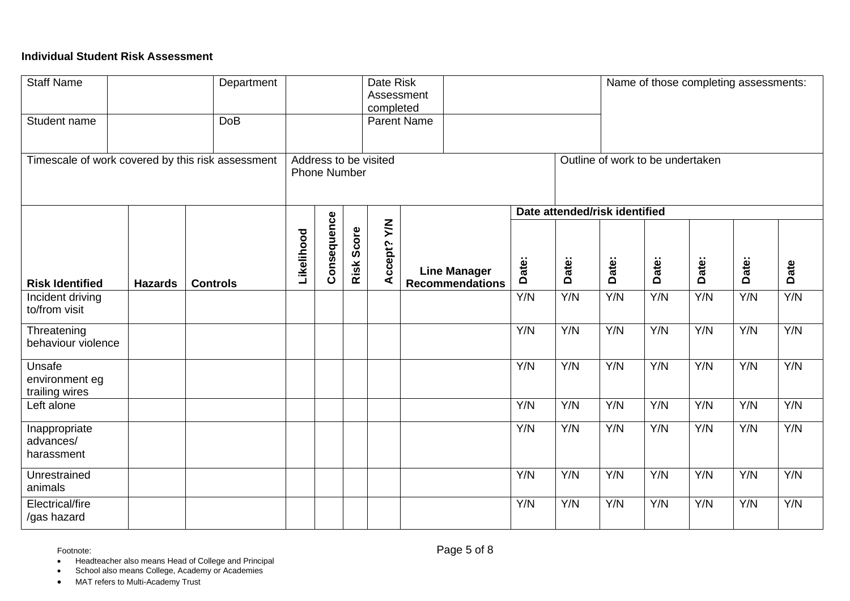# **Individual Student Risk Assessment**

| <b>Staff Name</b><br>Student name                 |                | Department<br><b>DoB</b> |            |                     |            | Date Risk<br>Assessment<br>completed | <b>Parent Name</b>                            |                 |                                  |       |       |       | Name of those completing assessments: |      |
|---------------------------------------------------|----------------|--------------------------|------------|---------------------|------------|--------------------------------------|-----------------------------------------------|-----------------|----------------------------------|-------|-------|-------|---------------------------------------|------|
| Timescale of work covered by this risk assessment |                |                          |            | <b>Phone Number</b> |            | Address to be visited                |                                               |                 | Outline of work to be undertaken |       |       |       |                                       |      |
|                                                   |                |                          |            |                     |            |                                      |                                               |                 | Date attended/risk identified    |       |       |       |                                       |      |
| <b>Risk Identified</b>                            | <b>Hazards</b> | <b>Controls</b>          | Likelihood | Consequence         | Risk Score | Accept? Y/N                          | <b>Line Manager</b><br><b>Recommendations</b> | Date:           | Date:                            | Date: | Date: | Date: | Date:                                 | Date |
| Incident driving<br>to/from visit                 |                |                          |            |                     |            |                                      |                                               | Y/N             | Y/N                              | Y/N   | Y/N   | Y/N   | Y/N                                   | Y/N  |
| Threatening<br>behaviour violence                 |                |                          |            |                     |            |                                      |                                               | Y/N             | Y/N                              | Y/N   | Y/N   | Y/N   | Y/N                                   | Y/N  |
| Unsafe<br>environment eg<br>trailing wires        |                |                          |            |                     |            |                                      |                                               | Y/N             | Y/N                              | Y/N   | Y/N   | Y/N   | Y/N                                   | Y/N  |
| Left alone                                        |                |                          |            |                     |            |                                      |                                               | Y/N             | Y/N                              | Y/N   | Y/N   | Y/N   | Y/N                                   | Y/N  |
| Inappropriate<br>advances/<br>harassment          |                |                          |            |                     |            |                                      |                                               | Y/N             | Y/N                              | Y/N   | Y/N   | Y/N   | Y/N                                   | Y/N  |
| Unrestrained<br>animals                           |                |                          |            |                     |            |                                      |                                               | Y/N             | Y/N                              | Y/N   | Y/N   | Y/N   | Y/N                                   | Y/N  |
| Electrical/fire<br>/gas hazard                    |                |                          |            |                     |            |                                      |                                               | $\overline{YN}$ | Y/N                              | Y/N   | Y/N   | Y/N   | Y/N                                   | Y/N  |

• Headteacher also means Head of College and Principal

• School also means College, Academy or Academies

• MAT refers to Multi-Academy Trust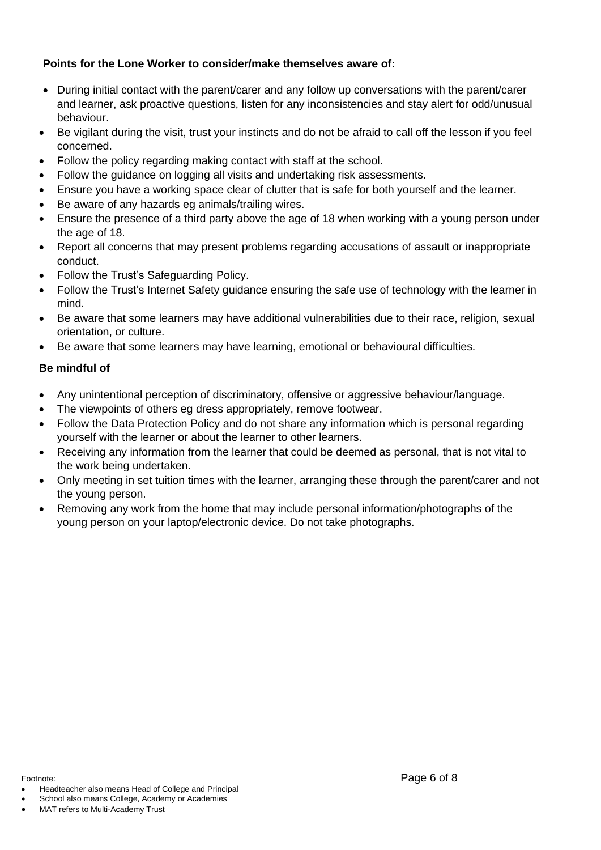# **Points for the Lone Worker to consider/make themselves aware of:**

- During initial contact with the parent/carer and any follow up conversations with the parent/carer and learner, ask proactive questions, listen for any inconsistencies and stay alert for odd/unusual behaviour.
- Be vigilant during the visit, trust your instincts and do not be afraid to call off the lesson if you feel concerned.
- Follow the policy regarding making contact with staff at the school.
- Follow the guidance on logging all visits and undertaking risk assessments.
- Ensure you have a working space clear of clutter that is safe for both yourself and the learner.
- Be aware of any hazards eg animals/trailing wires.
- Ensure the presence of a third party above the age of 18 when working with a young person under the age of 18.
- Report all concerns that may present problems regarding accusations of assault or inappropriate conduct.
- Follow the Trust's Safeguarding Policy.
- Follow the Trust's Internet Safety guidance ensuring the safe use of technology with the learner in mind.
- Be aware that some learners may have additional vulnerabilities due to their race, religion, sexual orientation, or culture.
- Be aware that some learners may have learning, emotional or behavioural difficulties.

# **Be mindful of**

- Any unintentional perception of discriminatory, offensive or aggressive behaviour/language.
- The viewpoints of others eg dress appropriately, remove footwear.
- Follow the Data Protection Policy and do not share any information which is personal regarding yourself with the learner or about the learner to other learners.
- Receiving any information from the learner that could be deemed as personal, that is not vital to the work being undertaken.
- Only meeting in set tuition times with the learner, arranging these through the parent/carer and not the young person.
- Removing any work from the home that may include personal information/photographs of the young person on your laptop/electronic device. Do not take photographs.

- Headteacher also means Head of College and Principal
- School also means College, Academy or Academies

MAT refers to Multi-Academy Trust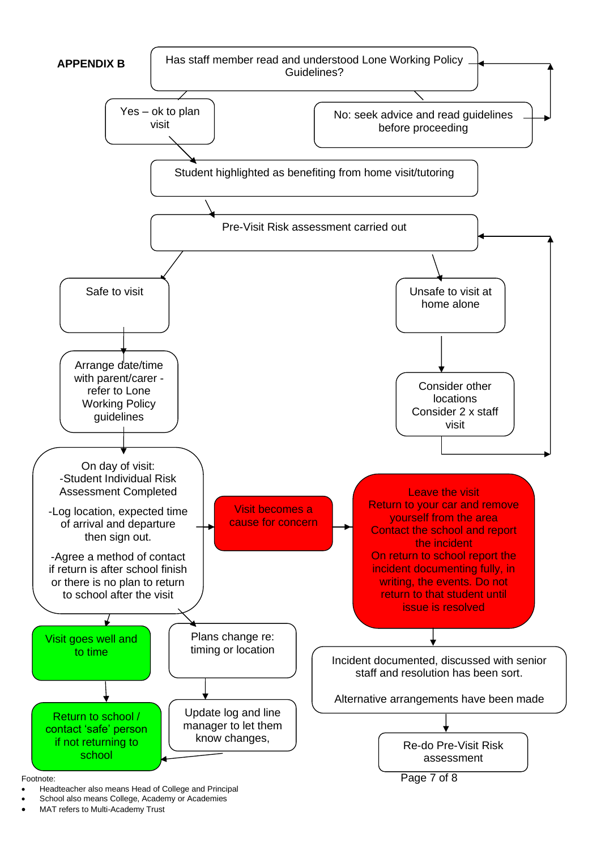

- Headteacher also means Head of College and Principal
- School also means College, Academy or Academies
- MAT refers to Multi-Academy Trust